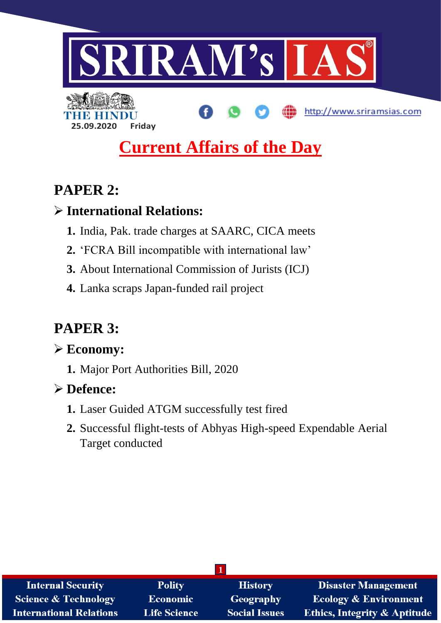

# **Current Affairs of the Day**

## **PAPER 2:**

### **International Relations:**

- **1.** India, Pak. trade charges at SAARC, CICA meets
- **2.** 'FCRA Bill incompatible with international law'
- **3.** About International Commission of Jurists (ICJ)
- **4.** Lanka scraps Japan-funded rail project

# **PAPER 3:**

### **Economy:**

**1.** Major Port Authorities Bill, 2020

## **Defence:**

- **1.** Laser Guided ATGM successfully test fired
- **2.** Successful flight-tests of Abhyas High-speed Expendable Aerial Target conducted

| <b>Internal Security</b>        | <b>Polity</b>       | <b>History</b>       | <b>Disaster Management</b>              |
|---------------------------------|---------------------|----------------------|-----------------------------------------|
| <b>Science &amp; Technology</b> | <b>Economic</b>     | Geography            | <b>Ecology &amp; Environment</b>        |
| <b>International Relations</b>  | <b>Life Science</b> | <b>Social Issues</b> | <b>Ethics, Integrity &amp; Aptitude</b> |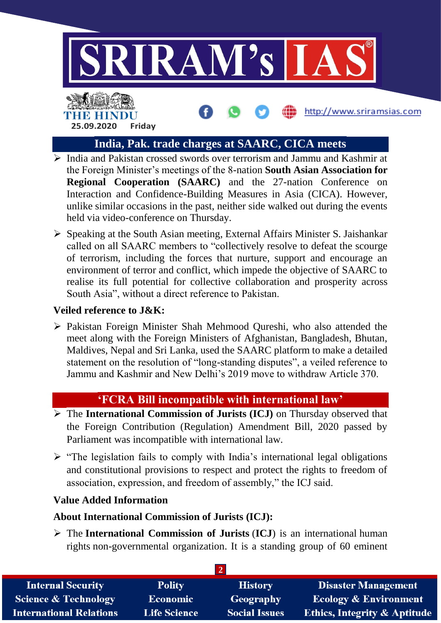

http://www.sriramsias.com

## THE BELLET **25.09.2020 Friday**

#### **India, Pak. trade charges at SAARC, CICA meets**

- $\triangleright$  India and Pakistan crossed swords over terrorism and Jammu and Kashmir at the Foreign Minister's meetings of the 8-nation **South Asian Association for Regional Cooperation (SAARC)** and the 27-nation Conference on Interaction and Confidence-Building Measures in Asia (CICA). However, unlike similar occasions in the past, neither side walked out during the events held via video-conference on Thursday.
- $\triangleright$  Speaking at the South Asian meeting, External Affairs Minister S. Jaishankar called on all SAARC members to "collectively resolve to defeat the scourge of terrorism, including the forces that nurture, support and encourage an environment of terror and conflict, which impede the objective of SAARC to realise its full potential for collective collaboration and prosperity across South Asia", without a direct reference to Pakistan.

#### **Veiled reference to J&K:**

 Pakistan Foreign Minister Shah Mehmood Qureshi, who also attended the meet along with the Foreign Ministers of Afghanistan, Bangladesh, Bhutan, Maldives, Nepal and Sri Lanka, used the SAARC platform to make a detailed statement on the resolution of "long-standing disputes", a veiled reference to Jammu and Kashmir and New Delhi's 2019 move to withdraw Article 370.

#### **'FCRA Bill incompatible with international law'**

- **The International Commission of Jurists (ICJ)** on Thursday observed that the Foreign Contribution (Regulation) Amendment Bill, 2020 passed by Parliament was incompatible with international law.
- $\triangleright$  "The legislation fails to comply with India's international legal obligations and constitutional provisions to respect and protect the rights to freedom of association, expression, and freedom of assembly," the ICJ said.

#### **Value Added Information**

#### **About International Commission of Jurists (ICJ):**

 The **International Commission of Jurists** (**ICJ**) is an international human rights non-governmental organization. It is a standing group of 60 eminent

| <b>Internal Security</b>        | <b>Polity</b>       | <b>History</b>       | <b>Disaster Management</b>              |
|---------------------------------|---------------------|----------------------|-----------------------------------------|
| <b>Science &amp; Technology</b> | <b>Economic</b>     | Geography            | <b>Ecology &amp; Environment</b>        |
| <b>International Relations</b>  | <b>Life Science</b> | <b>Social Issues</b> | <b>Ethics, Integrity &amp; Aptitude</b> |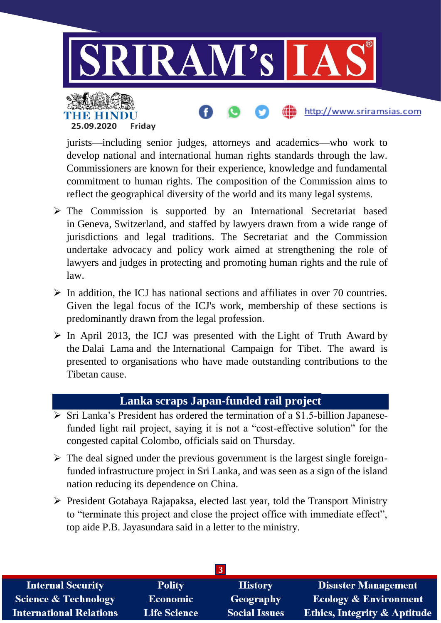

jurists—including senior judges, attorneys and academics—who work to develop national and international human rights standards through the law. Commissioners are known for their experience, knowledge and fundamental commitment to human rights. The composition of the Commission aims to reflect the geographical diversity of the world and its many legal systems.

- $\triangleright$  The Commission is supported by an International Secretariat based in Geneva, Switzerland, and staffed by lawyers drawn from a wide range of jurisdictions and legal traditions. The Secretariat and the Commission undertake advocacy and policy work aimed at strengthening the role of lawyers and judges in protecting and promoting human rights and the rule of law.
- $\triangleright$  In addition, the ICJ has national sections and affiliates in over 70 countries. Given the legal focus of the ICJ's work, membership of these sections is predominantly drawn from the legal profession.
- $\triangleright$  In April 2013, the ICJ was presented with the Light of Truth Award by the Dalai Lama and the International Campaign for Tibet. The award is presented to organisations who have made outstanding contributions to the Tibetan cause.

#### **Lanka scraps Japan-funded rail project**

- $\triangleright$  Sri Lanka's President has ordered the termination of a \$1.5-billion Japanesefunded light rail project, saying it is not a "cost-effective solution" for the congested capital Colombo, officials said on Thursday.
- $\triangleright$  The deal signed under the previous government is the largest single foreignfunded infrastructure project in Sri Lanka, and was seen as a sign of the island nation reducing its dependence on China.
- $\triangleright$  President Gotabaya Rajapaksa, elected last year, told the Transport Ministry to "terminate this project and close the project office with immediate effect", top aide P.B. Jayasundara said in a letter to the ministry.

| <b>Internal Security</b>        | <b>Polity</b>       | <b>History</b>       | <b>Disaster Management</b>              |
|---------------------------------|---------------------|----------------------|-----------------------------------------|
| <b>Science &amp; Technology</b> | <b>Economic</b>     | Geography            | <b>Ecology &amp; Environment</b>        |
| <b>International Relations</b>  | <b>Life Science</b> | <b>Social Issues</b> | <b>Ethics, Integrity &amp; Aptitude</b> |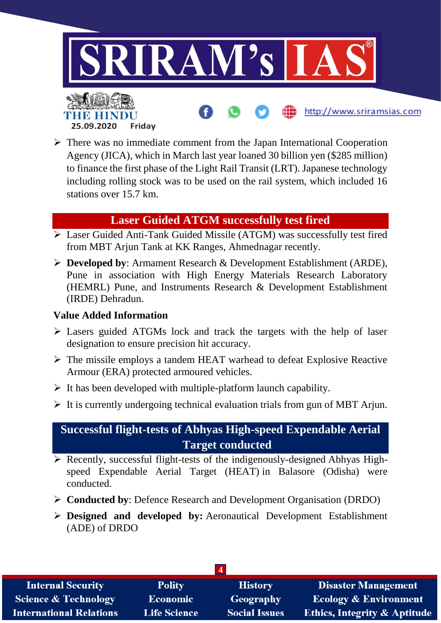

 $\triangleright$  There was no immediate comment from the Japan International Cooperation Agency (JICA), which in March last year loaned 30 billion yen (\$285 million) to finance the first phase of the Light Rail Transit (LRT). Japanese technology including rolling stock was to be used on the rail system, which included 16 stations over 15.7 km.

#### **Laser Guided ATGM successfully test fired**

- Laser Guided Anti-Tank Guided Missile (ATGM) was successfully test fired from MBT Arjun Tank at KK Ranges, Ahmednagar recently.
- **Developed by**: Armament Research & Development Establishment (ARDE), Pune in association with High Energy Materials Research Laboratory (HEMRL) Pune, and Instruments Research & Development Establishment (IRDE) Dehradun.

#### **Value Added Information**

- Lasers guided ATGMs lock and track the targets with the help of laser designation to ensure precision hit accuracy.
- $\triangleright$  The missile employs a tandem HEAT warhead to defeat Explosive Reactive Armour (ERA) protected armoured vehicles.
- $\triangleright$  It has been developed with multiple-platform launch capability.
- $\triangleright$  It is currently undergoing technical evaluation trials from gun of MBT Arjun.

#### **Successful flight-tests of Abhyas High-speed Expendable Aerial Target conducted**

- $\triangleright$  Recently, successful flight-tests of the indigenously-designed Abhyas Highspeed Expendable Aerial Target (HEAT) in Balasore (Odisha) were conducted.
- **Conducted by**: Defence Research and Development Organisation (DRDO)
- **Designed and developed by:** Aeronautical Development Establishment (ADE) of DRDO

| $\boldsymbol{\Delta}$           |                     |                      |                                         |
|---------------------------------|---------------------|----------------------|-----------------------------------------|
| <b>Internal Security</b>        | <b>Polity</b>       | <b>History</b>       | <b>Disaster Management</b>              |
| <b>Science &amp; Technology</b> | <b>Economic</b>     | <b>Geography</b>     | <b>Ecology &amp; Environment</b>        |
| <b>International Relations</b>  | <b>Life Science</b> | <b>Social Issues</b> | <b>Ethics, Integrity &amp; Aptitude</b> |